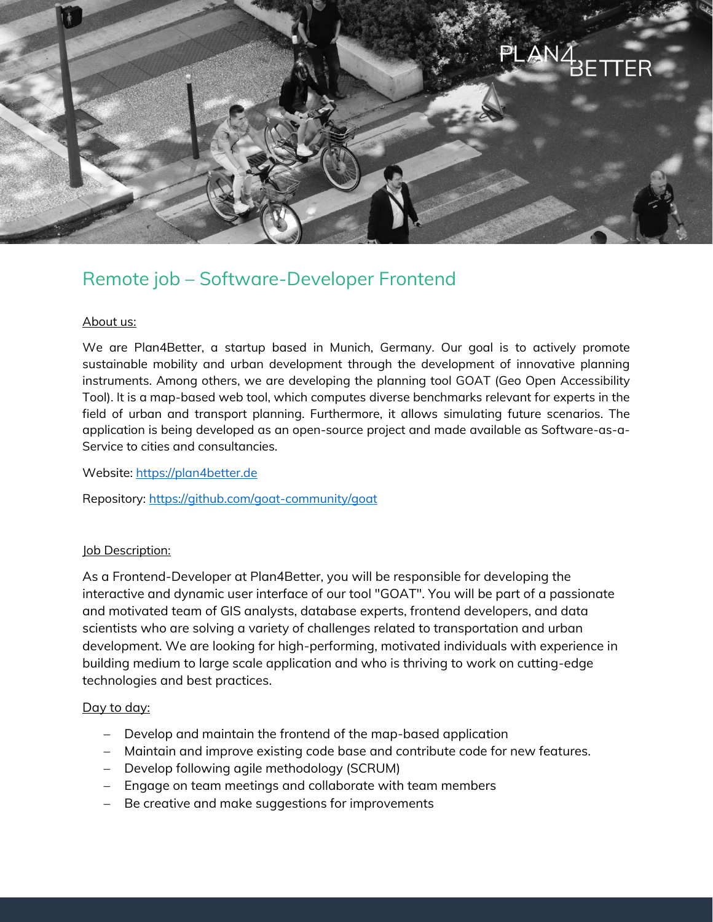

# Remote job – Software-Developer Frontend

### About us:

We are Plan4Better, a startup based in Munich, Germany. Our goal is to actively promote sustainable mobility and urban development through the development of innovative planning instruments. Among others, we are developing the planning tool GOAT (Geo Open Accessibility Tool). It is a map-based web tool, which computes diverse benchmarks relevant for experts in the field of urban and transport planning. Furthermore, it allows simulating future scenarios. The application is being developed as an open-source project and made available as Software-as-a-Service to cities and consultancies.

Website: [https://plan4better.de](https://plan4better.de/)

Repository:<https://github.com/goat-community/goat>

# **Job Description:**

As a Frontend-Developer at Plan4Better, you will be responsible for developing the interactive and dynamic user interface of our tool "GOAT". You will be part of a passionate and motivated team of GIS analysts, database experts, frontend developers, and data scientists who are solving a variety of challenges related to transportation and urban development. We are looking for high-performing, motivated individuals with experience in building medium to large scale application and who is thriving to work on cutting-edge technologies and best practices.

# Day to day:

- Develop and maintain the frontend of the map-based application
- Maintain and improve existing code base and contribute code for new features.
- Develop following agile methodology (SCRUM)
- Engage on team meetings and collaborate with team members
- Be creative and make suggestions for improvements